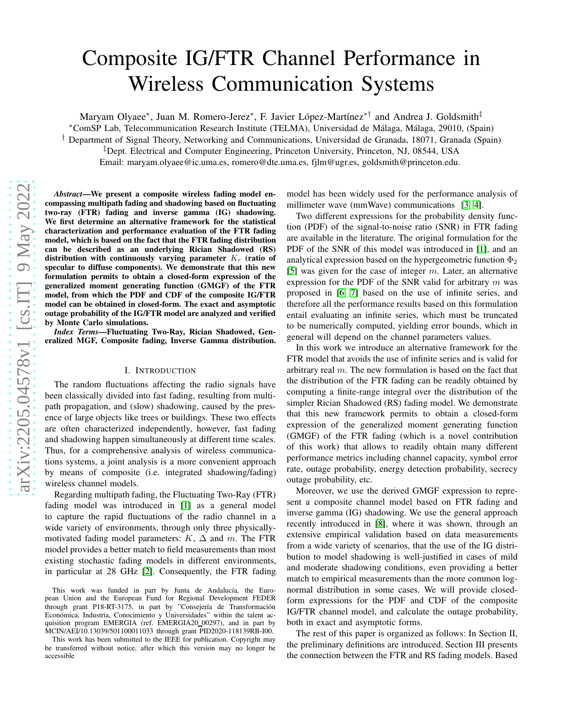# Composite IG/FTR Channel Performance in Wireless Communication Systems

Maryam Olyaee\*, Juan M. Romero-Jerez\*, F. Javier López-Martínez\*† and Andrea J. Goldsmith‡

<sup>∗</sup>ComSP Lab, Telecommunication Research Institute (TELMA), Universidad de M´alaga, M´alaga, 29010, (Spain)

† Department of Signal Theory, Networking and Communications, Universidad de Granada, 18071, Granada (Spain)

‡Dept. Electrical and Computer Engineering, Princeton University, Princeton, NJ, 08544, USA

Email: maryam.olyaee@ic.uma.es, romero@dte.uma.es, fjlm@ugr.es, goldsmith@princeton.edu.

*Abstract*—We present a composite wireless fading model encompassing multipath fading and shadowing based on fluctuating two-ray (FTR) fading and inverse gamma (IG) shadowing. We first determine an alternative framework for the statistical characterization and performance evaluation of the FTR fading model, which is based on the fact that the FTR fading distribution can be described as an underlying Rician Shadowed (RS) distribution with continuously varying parameter  $K_r$  (ratio of specular to diffuse components). We demonstrate that this new formulation permits to obtain a closed-form expression of the generalized moment generating function (GMGF) of the FTR model, from which the PDF and CDF of the composite IG/FTR model can be obtained in closed-form. The exact and asymptotic outage probability of the IG/FTR model are analyzed and verified by Monte Carlo simulations.

*Index Terms*—Fluctuating Two-Ray, Rician Shadowed, Generalized MGF, Composite fading, Inverse Gamma distribution.

#### I. INTRODUCTION

The random fluctuations affecting the radio signals have been classically divided into fast fading, resulting from multipath propagation, and (slow) shadowing, caused by the presence of large objects like trees or buildings. These two effects are often characterized independently, however, fast fading and shadowing happen simultaneously at different time scales. Thus, for a comprehensive analysis of wireless communications systems, a joint analysis is a more convenient approach by means of composite (i.e. integrated shadowing/fading) wireless channel models.

Regarding multipath fading, the Fluctuating Two-Ray (FTR) fading model was introduced in [\[1\]](#page-4-0) as a general model to capture the rapid fluctuations of the radio channel in a wide variety of environments, through only three physicallymotivated fading model parameters:  $K$ ,  $\Delta$  and m. The FTR model provides a better match to field measurements than most existing stochastic fading models in different environments, in particular at 28 GHz [\[2\]](#page-4-1). Consequently, the FTR fading

model has been widely used for the performance analysis of millimeter wave (mmWave) communications [\[3,](#page-4-2) [4\]](#page-4-3).

Two different expressions for the probability density function (PDF) of the signal-to-noise ratio (SNR) in FTR fading are available in the literature. The original formulation for the PDF of the SNR of this model was introduced in [\[1\]](#page-4-0), and an analytical expression based on the hypergeometric function  $\Phi_2$ [\[5\]](#page-4-4) was given for the case of integer  $m$ . Later, an alternative expression for the PDF of the SNR valid for arbitrary  $m$  was proposed in [\[6,](#page-4-5) [7\]](#page-5-0) based on the use of infinite series, and therefore all the performance results based on this formulation entail evaluating an infinite series, which must be truncated to be numerically computed, yielding error bounds, which in general will depend on the channel parameters values.

In this work we introduce an alternative framework for the FTR model that avoids the use of infinite series and is valid for arbitrary real  $m$ . The new formulation is based on the fact that the distribution of the FTR fading can be readily obtained by computing a finite-range integral over the distribution of the simpler Rician Shadowed (RS) fading model. We demonstrate that this new framework permits to obtain a closed-form expression of the generalized moment generating function (GMGF) of the FTR fading (which is a novel contribution of this work) that allows to readily obtain many different performance metrics including channel capacity, symbol error rate, outage probability, energy detection probability, secrecy outage probability, etc.

Moreover, we use the derived GMGF expression to represent a composite channel model based on FTR fading and inverse gamma (IG) shadowing. We use the general approach recently introduced in [\[8\]](#page-5-1), where it was shown, through an extensive empirical validation based on data measurements from a wide variety of scenarios, that the use of the IG distribution to model shadowing is well-justified in cases of mild and moderate shadowing conditions, even providing a better match to empirical measurements than the more common lognormal distribution in some cases. We will provide closedform expressions for the PDF and CDF of the composite IG/FTR channel model, and calculate the outage probability, both in exact and asymptotic forms.

The rest of this paper is organized as follows: In Section II, the preliminary definitions are introduced. Section III presents the connection between the FTR and RS fading models. Based

This work was funded in part by Junta de Andalucía, the European Union and the European Fund for Regional Development FEDER through grant P18-RT-3175, in part by "Consejería de Transformación Económica, Industria, Conocimiento y Universidades" within the talent acquisition program EMERGIA (ref. EMERGIA20\_00297), and in part by MCIN/AEI/10.13039/501100011033 through grant PID2020-118139RB-I00.

This work has been submitted to the IEEE for publication. Copyright may be transferred without notice, after which this version may no longer be accessible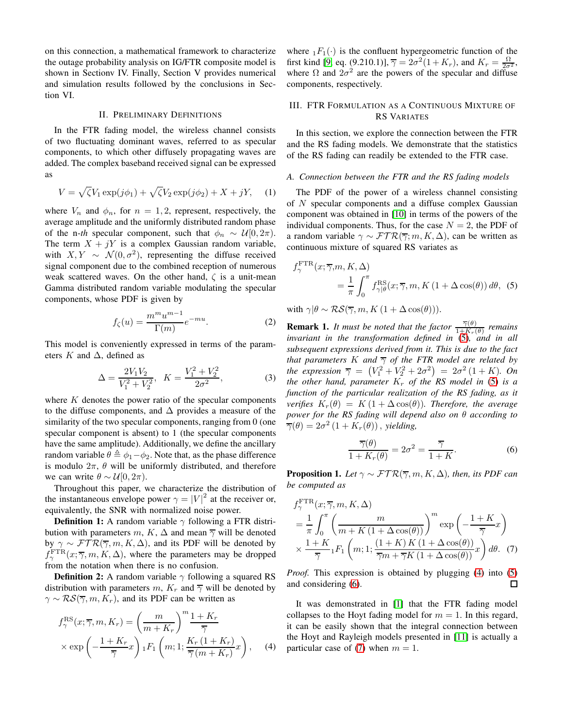on this connection, a mathematical framework to characterize the outage probability analysis on IG/FTR composite model is shown in Sectionv IV. Finally, Section V provides numerical and simulation results followed by the conclusions in Section VI.

#### II. PRELIMINARY DEFINITIONS

In the FTR fading model, the wireless channel consists of two fluctuating dominant waves, referred to as specular components, to which other diffusely propagating waves are added. The complex baseband received signal can be expressed as

$$
V = \sqrt{\zeta} V_1 \exp(j\phi_1) + \sqrt{\zeta} V_2 \exp(j\phi_2) + X + jY, \quad (1)
$$

where  $V_n$  and  $\phi_n$ , for  $n = 1, 2$ , represent, respectively, the average amplitude and the uniformly distributed random phase of the n-*th* specular component, such that  $\phi_n \sim \mathcal{U}[0, 2\pi)$ . The term  $X + jY$  is a complex Gaussian random variable, with  $X, Y \sim \mathcal{N}(0, \sigma^2)$ , representing the diffuse received signal component due to the combined reception of numerous weak scattered waves. On the other hand,  $\zeta$  is a unit-mean Gamma distributed random variable modulating the specular components, whose PDF is given by

$$
f_{\zeta}(u) = \frac{m^m u^{m-1}}{\Gamma(m)} e^{-mu}.
$$
 (2)

This model is conveniently expressed in terms of the parameters K and  $\Delta$ , defined as

$$
\Delta = \frac{2V_1V_2}{V_1^2 + V_2^2}, \quad K = \frac{V_1^2 + V_2^2}{2\sigma^2},\tag{3}
$$

where  $K$  denotes the power ratio of the specular components to the diffuse components, and  $\Delta$  provides a measure of the similarity of the two specular components, ranging from 0 (one specular component is absent) to 1 (the specular components have the same amplitude). Additionally, we define the ancillary random variable  $\theta \triangleq \phi_1 - \phi_2$ . Note that, as the phase difference is modulo  $2\pi$ ,  $\theta$  will be uniformly distributed, and therefore we can write  $\theta \sim \mathcal{U}[0, 2\pi)$ .

Throughout this paper, we characterize the distribution of the instantaneous envelope power  $\gamma = |V|^2$  at the receiver or, equivalently, the SNR with normalized noise power.

**Definition 1:** A random variable  $\gamma$  following a FTR distribution with parameters m, K,  $\Delta$  and mean  $\overline{\gamma}$  will be denoted by  $\gamma \sim \mathcal{FTR}(\overline{\gamma}, m, K, \Delta)$ , and its PDF will be denoted by  $f_{\gamma}^{\text{FTR}}(x; \overline{\gamma}, m, K, \Delta)$ , where the parameters may be dropped from the notation when there is no confusion.

**Definition 2:** A random variable  $\gamma$  following a squared RS distribution with parameters m,  $K_r$  and  $\overline{\gamma}$  will be denoted by  $\gamma \sim \mathcal{RS}(\overline{\gamma}, m, K_r)$ , and its PDF can be written as

$$
f_{\gamma}^{\text{RS}}(x; \overline{\gamma}, m, K_r) = \left(\frac{m}{m + K_r}\right)^m \frac{1 + K_r}{\overline{\gamma}}
$$

$$
\times \exp\left(-\frac{1 + K_r}{\overline{\gamma}}x\right) {}_1F_1\left(m; 1; \frac{K_r\left(1 + K_r\right)}{\overline{\gamma}\left(m + K_r\right)}x\right), \quad (4)
$$

where  $_1F_1(\cdot)$  is the confluent hypergeometric function of the first kind [\[9,](#page-5-2) eq. (9.210.1)],  $\overline{\gamma} = 2\sigma^2(1+K_r)$ , and  $K_r = \frac{\Omega}{2\sigma^2}$ , where  $\Omega$  and  $2\sigma^2$  are the powers of the specular and diffuse components, respectively.

# III. FTR FORMULATION AS A CONTINUOUS MIXTURE OF RS VARIATES

In this section, we explore the connection between the FTR and the RS fading models. We demonstrate that the statistics of the RS fading can readily be extended to the FTR case.

### *A. Connection between the FTR and the RS fading models*

The PDF of the power of a wireless channel consisting of N specular components and a diffuse complex Gaussian component was obtained in [\[10\]](#page-5-3) in terms of the powers of the individual components. Thus, for the case  $N = 2$ , the PDF of a random variable  $\gamma \sim \mathcal{FTR}(\overline{\gamma}; m, K, \Delta)$ , can be written as continuous mixture of squared RS variates as

<span id="page-1-0"></span>
$$
f_{\gamma}^{\text{FTR}}(x; \overline{\gamma}, m, K, \Delta)
$$
  
=  $\frac{1}{\pi} \int_{0}^{\pi} f_{\gamma|\theta}^{\text{RS}}(x; \overline{\gamma}, m, K(1 + \Delta \cos(\theta)) d\theta, (5))$ 

with  $\gamma|\theta \sim \mathcal{RS}(\overline{\gamma}, m, K(1 + \Delta \cos(\theta))).$ 

**Remark 1.** It must be noted that the factor  $\frac{\overline{\gamma}(\theta)}{1+K_r(\theta)}$  remains *invariant in the transformation defined in* [\(5\)](#page-1-0)*, and in all subsequent expressions derived from it. This is due to the fact that parameters* K *and*  $\overline{\gamma}$  *of the FTR model are related by the expression*  $\bar{\gamma} = (V_1^2 + V_2^2 + 2\sigma^2) = 2\sigma^2(1 + K)$ *. On the other hand, parameter*  $K_r$  *of the RS model in* [\(5\)](#page-1-0) *is a function of the particular realization of the RS fading, as it verifies*  $K_r(\theta) = K(1 + \Delta \cos(\theta))$ *. Therefore, the average power for the RS fading will depend also on* θ *according to*  $\overline{\gamma}(\theta) = 2\sigma^2 (1 + K_r(\theta))$ , *yielding*,

<span id="page-1-3"></span><span id="page-1-2"></span>
$$
\frac{\overline{\gamma}(\theta)}{1 + K_r(\theta)} = 2\sigma^2 = \frac{\overline{\gamma}}{1 + K}.
$$
 (6)

<span id="page-1-4"></span>**Proposition 1.** *Let*  $\gamma \sim \mathcal{FTR}(\overline{\gamma}, m, K, \Delta)$ *, then, its PDF can be computed as*

$$
f_{\gamma}^{\text{FTR}}(x; \overline{\gamma}, m, K, \Delta)
$$
  
=  $\frac{1}{\pi} \int_{0}^{\pi} \left( \frac{m}{m + K(1 + \Delta \cos(\theta))} \right)^{m} \exp\left( -\frac{1 + K}{\overline{\gamma}} x \right)$   
 $\times \frac{1 + K}{\overline{\gamma}} {}_{1}F_{1} \left( m; 1; \frac{(1 + K) K(1 + \Delta \cos(\theta))}{\overline{\gamma} m + \overline{\gamma} K(1 + \Delta \cos(\theta))} x \right) d\theta.$  (7)

*Proof.* This expression is obtained by plugging [\(4\)](#page-1-1) into [\(5\)](#page-1-0) and considering [\(6\)](#page-1-2).  $\Box$ 

<span id="page-1-1"></span>It was demonstrated in [\[1\]](#page-4-0) that the FTR fading model collapses to the Hoyt fading model for  $m = 1$ . In this regard, it can be easily shown that the integral connection between the Hoyt and Rayleigh models presented in [\[11\]](#page-5-4) is actually a particular case of [\(7\)](#page-1-3) when  $m = 1$ .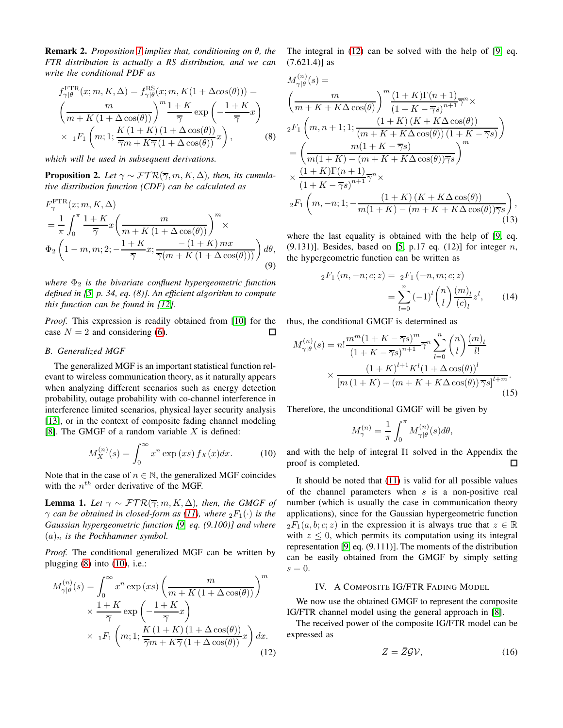Remark 2. *Proposition [1](#page-1-4) implies that, conditioning on* θ*, the FTR distribution is actually a RS distribution, and we can write the conditional PDF as*

$$
f_{\gamma|\theta}^{\text{FTR}}(x; m, K, \Delta) = f_{\gamma|\theta}^{\text{RS}}(x; m, K(1 + \Delta cos(\theta))) =
$$
  

$$
\left(\frac{m}{m + K(1 + \Delta cos(\theta))}\right)^m \frac{1 + K}{\overline{\gamma}} \exp\left(-\frac{1 + K}{\overline{\gamma}}x\right)
$$
  

$$
\times {}_{1}F_{1}\left(m; 1; \frac{K(1 + K)(1 + \Delta cos(\theta))}{\overline{\gamma}m + K\overline{\gamma}(1 + \Delta cos(\theta))}x\right),
$$
 (8)

*which will be used in subsequent derivations.*

**Proposition 2.** Let  $\gamma \sim \mathcal{FTR}(\overline{\gamma}, m, K, \Delta)$ , then, its cumula*tive distribution function (CDF) can be calculated as*

$$
F_{\gamma}^{\text{FTR}}(x; m, K, \Delta)
$$
  
=  $\frac{1}{\pi} \int_0^{\pi} \frac{1+K}{\overline{\gamma}} x \left( \frac{m}{m+K(1+\Delta \cos(\theta))} \right)^m \times$   
 $\Phi_2 \left( 1-m, m; 2; -\frac{1+K}{\overline{\gamma}} x; \frac{-(1+K) mx}{\overline{\gamma}(m+K(1+\Delta \cos(\theta)))} \right) d\theta,$  (9)

*where* Φ<sup>2</sup> *is the bivariate confluent hypergeometric function defined in [\[5,](#page-4-4) p. 34, eq. (8)]. An efficient algorithm to compute this function can be found in [\[12\]](#page-5-5).*

*Proof.* This expression is readily obtained from [\[10\]](#page-5-3) for the case  $N = 2$  and considering [\(6\)](#page-1-2).  $\Box$ 

#### *B. Generalized MGF*

The generalized MGF is an important statistical function relevant to wireless communication theory, as it naturally appears when analyzing different scenarios such as energy detection probability, outage probability with co-channel interference in interference limited scenarios, physical layer security analysis [\[13\]](#page-5-6), or in the context of composite fading channel modeling [\[8\]](#page-5-1). The GMGF of a random variable  $X$  is defined:

$$
M_X^{(n)}(s) = \int_0^\infty x^n \exp(xs) \, f_X(x) dx. \tag{10}
$$

Note that in the case of  $n \in \mathbb{N}$ , the generalized MGF coincides with the  $n^{th}$  order derivative of the MGF.

**Lemma 1.** Let  $\gamma \sim \mathcal{FTR}(\overline{\gamma}; m, K, \Delta)$ , then, the GMGF of  $\gamma$  *can be obtained in closed-form as [\(11\)](#page-3-0), where*  ${}_2F_1(\cdot)$  *is the Gaussian hypergeometric function [\[9,](#page-5-2) eq. (9.100)] and where*  $(a)_n$  *is the Pochhammer symbol.* 

*Proof.* The conditional generalized MGF can be written by plugging  $(8)$  into  $(10)$ , i.e.:

$$
M_{\gamma|\theta}^{(n)}(s) = \int_0^\infty x^n \exp(xs) \left(\frac{m}{m + K(1 + \Delta \cos(\theta))}\right)^m
$$
  
 
$$
\times \frac{1 + K}{\overline{\gamma}} \exp\left(-\frac{1 + K}{\overline{\gamma}}x\right)
$$
  
 
$$
\times \ {}_1F_1\left(m; 1; \frac{K(1 + K)(1 + \Delta \cos(\theta))}{\overline{\gamma}m + K\overline{\gamma}(1 + \Delta \cos(\theta))}x\right) dx.
$$
 (12)

The integral in [\(12\)](#page-2-2) can be solved with the help of [\[9,](#page-5-2) eq.  $(7.621.4)$ ] as

 $(1)$ 

<span id="page-2-0"></span>
$$
M_{\gamma|\theta}^{(n)}(s) =
$$
  
\n
$$
\left(\frac{m}{m+K+K\Delta\cos(\theta)}\right)^{m} \frac{(1+K)\Gamma(n+1)}{(1+K-\overline{\gamma}s)^{n+1}} \overline{\gamma}^{n} \times
$$
  
\n
$$
{}_{2}F_{1}\left(m,n+1;1;\frac{(1+K)(K+K\Delta\cos(\theta))}{(m+K+K\Delta\cos(\theta))(1+K-\overline{\gamma}s)}\right)
$$
  
\n
$$
= \left(\frac{m(1+K-\overline{\gamma}s)}{m(1+K)-(m+K+K\Delta\cos(\theta))\overline{\gamma}s}\right)^{m}
$$
  
\n
$$
\times \frac{(1+K)\Gamma(n+1)}{(1+K-\overline{\gamma}s)^{n+1}} \overline{\gamma}^{n} \times
$$
  
\n
$$
{}_{2}F_{1}\left(m,-n;1;-\frac{(1+K)(K+K\Delta\cos(\theta))}{m(1+K)-(m+K+K\Delta\cos(\theta))\overline{\gamma}s}\right),
$$
\n(13)

where the last equality is obtained with the help of [\[9,](#page-5-2) eq.  $(9.131)$ ]. Besides, based on [\[5,](#page-4-4) p.17 eq. (12)] for integer n, the hypergeometric function can be written as

$$
{}_{2}F_{1}(m, -n; c; z) = {}_{2}F_{1}(-n, m; c; z)
$$

$$
= \sum_{l=0}^{n} (-1)^{l} {n \choose l} \frac{(m)_{l}}{(c)_{l}} z^{l}, \qquad (14)
$$

thus, the conditional GMGF is determined as

$$
M_{\gamma|\theta}^{(n)}(s) = n! \frac{m^m (1 + K - \overline{\gamma}s)^m}{(1 + K - \overline{\gamma}s)^{n+1}} \overline{\gamma}^n \sum_{l=0}^n {n \choose l} \frac{(m)_l}{l!} \times \frac{(1 + K)^{l+1} K^l (1 + \Delta \cos(\theta))^l}{[m (1 + K) - (m + K + K\Delta \cos(\theta)) \overline{\gamma}s]^{l+m}}.
$$
\n(15)

Therefore, the unconditional GMGF will be given by

$$
M_{\gamma}^{(n)} = \frac{1}{\pi} \int_0^{\pi} M_{\gamma|\theta}^{(n)}(s) d\theta,
$$

<span id="page-2-1"></span>and with the help of integral I1 solved in the Appendix the proof is completed. 口

It should be noted that [\(11\)](#page-3-0) is valid for all possible values of the channel parameters when  $s$  is a non-positive real number (which is usually the case in communication theory applications), since for the Gaussian hypergeometric function  ${}_2F_1(a, b; c; z)$  in the expression it is always true that  $z \in \mathbb{R}$ with  $z \leq 0$ , which permits its computation using its integral representation [\[9,](#page-5-2) eq. (9.111)]. The moments of the distribution can be easily obtained from the GMGF by simply setting  $s = 0$ .

### IV. A COMPOSITE IG/FTR FADING MODEL

We now use the obtained GMGF to represent the composite IG/FTR channel model using the general approach in [\[8\]](#page-5-1).

<span id="page-2-2"></span>The received power of the composite IG/FTR model can be expressed as

$$
Z = \bar{Z}\mathcal{G}\mathcal{V},\tag{16}
$$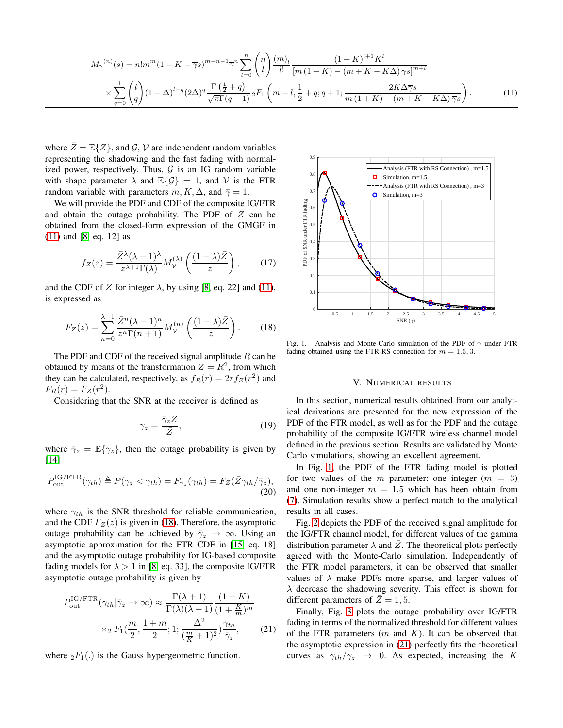$$
M_{\gamma}^{(n)}(s) = n! m^{m} (1 + K - \overline{\gamma}s)^{m-n-1} \overline{\gamma}^{n} \sum_{l=0}^{n} {n \choose l} \frac{(m)_{l}}{l!} \frac{(1 + K)^{l+1} K^{l}}{[m (1 + K) - (m + K - K\Delta) \overline{\gamma}s]^{m+l}} \times \sum_{q=0}^{l} {l \choose q} (1 - \Delta)^{l-q} (2\Delta)^{q} \frac{\Gamma(\frac{1}{2} + q)}{\sqrt{\pi} \Gamma(q+1)} {}_{2}F_{1} \left(m + l, \frac{1}{2} + q; q+1; \frac{2K\Delta \overline{\gamma}s}{m (1 + K) - (m + K - K\Delta) \overline{\gamma}s}\right).
$$
 (11)

where  $\bar{Z} = \mathbb{E}\{Z\}$ , and  $\mathcal{G}, \mathcal{V}$  are independent random variables representing the shadowing and the fast fading with normalized power, respectively. Thus,  $G$  is an IG random variable with shape parameter  $\lambda$  and  $\mathbb{E}{\{\mathcal{G}\}} = 1$ , and V is the FTR random variable with parameters  $m, K, \Delta$ , and  $\bar{\gamma} = 1$ .

We will provide the PDF and CDF of the composite IG/FTR and obtain the outage probability. The PDF of  $Z$  can be obtained from the closed-form expression of the GMGF in [\(11\)](#page-3-0) and [\[8,](#page-5-1) eq. 12] as

$$
f_Z(z) = \frac{\bar{Z}^{\lambda}(\lambda - 1)^{\lambda}}{z^{\lambda + 1}\Gamma(\lambda)} M_{\mathcal{V}}^{(\lambda)}\left(\frac{(1 - \lambda)\bar{Z}}{z}\right),\qquad(17)
$$

and the CDF of Z for integer  $\lambda$ , by using [\[8,](#page-5-1) eq. 22] and [\(11\)](#page-3-0), is expressed as

$$
F_Z(z) = \sum_{n=0}^{\lambda - 1} \frac{\bar{Z}^n (\lambda - 1)^n}{z^n \Gamma(n+1)} M_V^{(n)} \left( \frac{(1 - \lambda)\bar{Z}}{z} \right).
$$
 (18)

The PDF and CDF of the received signal amplitude  $R$  can be obtained by means of the transformation  $Z = R^2$ , from which they can be calculated, respectively, as  $f_R(r) = 2r f_Z(r^2)$  and  $F_R(r) = F_Z(r^2)$ .

Considering that the SNR at the receiver is defined as

$$
\gamma_z = \frac{\bar{\gamma}_z Z}{\bar{Z}},\tag{19}
$$

where  $\bar{\gamma}_z = \mathbb{E}\{\gamma_z\}$ , then the outage probability is given by [\[14\]](#page-5-7)

$$
P_{\text{out}}^{\text{IG/FTR}}(\gamma_{th}) \triangleq P(\gamma_z < \gamma_{th}) = F_{\gamma_z}(\gamma_{th}) = F_Z(\bar{Z}\gamma_{th}/\bar{\gamma}_z),\tag{20}
$$

where  $\gamma_{th}$  is the SNR threshold for reliable communication, and the CDF  $F_Z(z)$  is given in [\(18\)](#page-3-1). Therefore, the asymptotic outage probability can be achieved by  $\bar{\gamma}_z \to \infty$ . Using an asymptotic approximation for the FTR CDF in [\[15,](#page-5-8) eq. 18] and the asymptotic outage probability for IG-based composite fading models for  $\lambda > 1$  in [\[8,](#page-5-1) eq. 33], the composite IG/FTR asymptotic outage probability is given by

$$
P_{\text{out}}^{\text{IG/FTR}}(\gamma_{th}|\bar{\gamma}_z \to \infty) \approx \frac{\Gamma(\lambda+1)}{\Gamma(\lambda)(\lambda-1)} \frac{(1+K)}{(1+\frac{K}{m})^m}
$$

$$
\times_2 F_1(\frac{m}{2}, \frac{1+m}{2}; 1; \frac{\Delta^2}{(\frac{m}{K}+1)^2}) \frac{\gamma_{th}}{\bar{\gamma}_z}, \qquad (21)
$$

where  ${}_2F_1(.)$  is the Gauss hypergeometric function.

<span id="page-3-0"></span>

<span id="page-3-2"></span><span id="page-3-1"></span>Fig. 1. Analysis and Monte-Carlo simulation of the PDF of  $\gamma$  under FTR fading obtained using the FTR-RS connection for  $m = 1.5, 3$ .

#### V. NUMERICAL RESULTS

In this section, numerical results obtained from our analytical derivations are presented for the new expression of the PDF of the FTR model, as well as for the PDF and the outage probability of the composite IG/FTR wireless channel model defined in the previous section. Results are validated by Monte Carlo simulations, showing an excellent agreement.

In Fig. [1,](#page-3-2) the PDF of the FTR fading model is plotted for two values of the m parameter: one integer  $(m = 3)$ and one non-integer  $m = 1.5$  which has been obtain from [\(7\)](#page-1-3). Simulation results show a perfect match to the analytical results in all cases.

Fig. [2](#page-4-6) depicts the PDF of the received signal amplitude for the IG/FTR channel model, for different values of the gamma distribution parameter  $\lambda$  and  $\overline{Z}$ . The theoretical plots perfectly agreed with the Monte-Carlo simulation. Independently of the FTR model parameters, it can be observed that smaller values of  $\lambda$  make PDFs more sparse, and larger values of  $\lambda$  decrease the shadowing severity. This effect is shown for different parameters of  $Z = 1, 5$ .

<span id="page-3-3"></span>Finally, Fig. [3](#page-4-7) plots the outage probability over IG/FTR fading in terms of the normalized threshold for different values of the FTR parameters  $(m \text{ and } K)$ . It can be observed that the asymptotic expression in [\(21\)](#page-3-3) perfectly fits the theoretical curves as  $\gamma_{th}/\gamma_z \rightarrow 0$ . As expected, increasing the K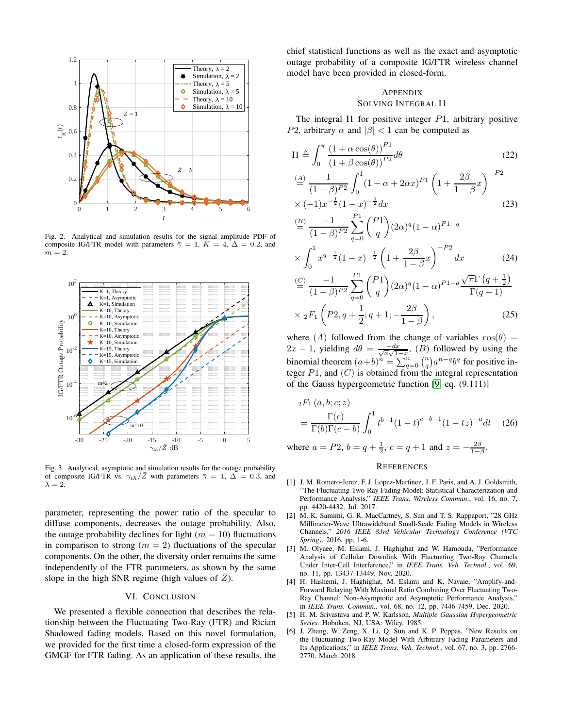

<span id="page-4-6"></span>Fig. 2. Analytical and simulation results for the signal amplitude PDF of composite IG/FTR model with parameters  $\bar{\gamma} = 1$ ,  $K = 4$ ,  $\Delta = 0.2$ , and  $m = 2$ .



<span id="page-4-7"></span>Fig. 3. Analytical, asymptotic and simulation results for the outage probability of composite IG/FTR vs.  $\gamma_{th}/\bar{Z}$  with parameters  $\bar{\gamma} = 1, \Delta = 0.3$ , and  $\lambda = 2$ .

parameter, representing the power ratio of the specular to diffuse components, decreases the outage probability. Also, the outage probability declines for light ( $m = 10$ ) fluctuations in comparison to strong  $(m = 2)$  fluctuations of the specular components. On the other, the diversity order remains the same independently of the FTR parameters, as shown by the same slope in the high SNR regime (high values of  $\bar{Z}$ ).

## VI. CONCLUSION

We presented a flexible connection that describes the relationship between the Fluctuating Two-Ray (FTR) and Rician Shadowed fading models. Based on this novel formulation, we provided for the first time a closed-form expression of the GMGF for FTR fading. As an application of these results, the chief statistical functions as well as the exact and asymptotic outage probability of a composite IG/FTR wireless channel model have been provided in closed-form.

# **APPENDIX** SOLVING INTEGRAL I1

The integral I1 for positive integer  $P_1$ , arbitrary positive P2, arbitrary  $\alpha$  and  $|\beta|$  < 1 can be computed as

$$
I1 \triangleq \int_0^{\pi} \frac{(1+\alpha \cos(\theta))^{P_1}}{(1+\beta \cos(\theta))^{P_2}} d\theta
$$
\n
$$
\stackrel{(A)}{=} \frac{1}{(1-\beta)^{P_2}} \int_0^1 (1-\alpha+2\alpha x)^{P_1} \left(1+\frac{2\beta}{1-\beta}x\right)^{-P_2}
$$
\n
$$
\times (-1)x^{-\frac{1}{2}}(1-x)^{-\frac{1}{2}}dx
$$
\n(23)

$$
\stackrel{(B)}{=} \frac{-1}{(1-\beta)^{P2}} \sum_{q=0}^{P1} {P1 \choose q} (2\alpha)^q (1-\alpha)^{P1-q}
$$

$$
\times \int_0^1 x^{q-\frac{1}{2}} (1-x)^{-\frac{1}{2}} \left(1 + \frac{2\beta}{1-\beta} x\right)^{-P2} dx \tag{24}
$$

$$
\stackrel{(C)}{=} \frac{-1}{(1-\beta)^{P2}} \sum_{q=0}^{P1} {P1 \choose q} (2\alpha)^q (1-\alpha)^{P1-q} \frac{\sqrt{\pi} \Gamma (q+\frac{1}{2})}{\Gamma (q+1)}
$$
  
×  ${}_2F_1 \left(P2, q+\frac{1}{2}; q+1; -\frac{2\beta}{1-\beta}\right)$ , (25)

where (A) followed from the change of variables  $cos(\theta)$  =  $2x - 1$ , yielding  $d\theta = \frac{-dx}{\sqrt{x}\sqrt{1-x}}$ ,  $(B)$  followed by using the binomial theorem  $(a+b)^n = \sum_{q=0}^n {n \choose q} a^{n-q} b^q$  for positive integer  $P1$ , and  $(C)$  is obtained from the integral representation of the Gauss hypergeometric function [\[9,](#page-5-2) eq. (9.111)]

$$
{}_{2}F_{1}(a,b;c;z)
$$
  
=  $\frac{\Gamma(c)}{\Gamma(b)\Gamma(c-b)} \int_{0}^{1} t^{b-1} (1-t)^{c-b-1} (1-tz)^{-a} dt$  (26)

where  $a = P2$ ,  $b = q + \frac{1}{2}$ ,  $c = q + 1$  and  $z = -\frac{2\beta}{1-\beta}$ .

#### **REFERENCES**

- <span id="page-4-0"></span>[1] J. M. Romero-Jerez, F. J. Lopez-Martinez, J. F. Paris, and A. J. Goldsmith, "The Fluctuating Two-Ray Fading Model: Statistical Characterization and Performance Analysis," *IEEE Trans. Wireless Commun*., vol. 16, no. 7, pp. 4420-4432, Jul. 2017.
- <span id="page-4-1"></span>[2] M. K. Samimi, G. R. MacCartney, S. Sun and T. S. Rappaport, "28 GHz Millimeter-Wave Ultrawideband Small-Scale Fading Models in Wireless Channels," *2016 IEEE 83rd Vehicular Technology Conference (VTC Spring)*, 2016, pp. 1-6.
- <span id="page-4-2"></span>[3] M. Olyaee, M. Eslami, J. Haghighat and W. Hamouda, "Performance Analysis of Cellular Downlink With Fluctuating Two-Ray Channels Under Inter-Cell Interference," in *IEEE Trans. Veh. Technol.*, vol. 69, no. 11, pp. 13437-13449, Nov. 2020.
- <span id="page-4-3"></span>[4] H. Hashemi, J. Haghighat, M. Eslami and K. Navaie, "Amplify-and-Forward Relaying With Maximal Ratio Combining Over Fluctuating Two-Ray Channel: Non-Asymptotic and Asymptotic Performance Analysis," in *IEEE Trans. Commun.*, vol. 68, no. 12, pp. 7446-7459, Dec. 2020.
- <span id="page-4-4"></span>[5] H. M. Srivastava and P. W. Karlsson, *Multiple Gaussian Hypergeometric Series.* Hoboken, NJ, USA: Wiley, 1985.
- <span id="page-4-5"></span>[6] J. Zhang, W. Zeng, X. Li, Q. Sun and K. P. Peppas, "New Results on the Fluctuating Two-Ray Model With Arbitrary Fading Parameters and Its Applications," in *IEEE Trans. Veh. Technol.*, vol. 67, no. 3, pp. 2766- 2770, March 2018.